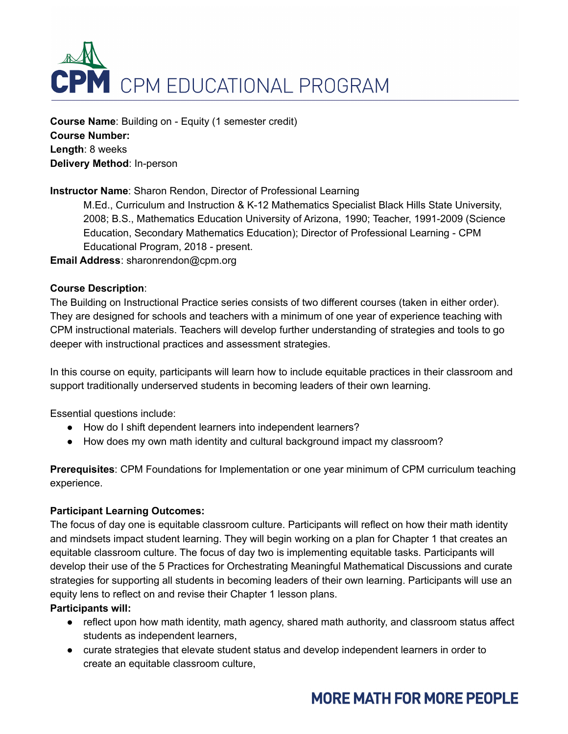

**Course Name**: Building on - Equity (1 semester credit) **Course Number: Length**: 8 weeks **Delivery Method**: In-person

## **Instructor Name**: Sharon Rendon, Director of Professional Learning

M.Ed., Curriculum and Instruction & K-12 Mathematics Specialist Black Hills State University, 2008; B.S., Mathematics Education University of Arizona, 1990; Teacher, 1991-2009 (Science Education, Secondary Mathematics Education); Director of Professional Learning - CPM Educational Program, 2018 - present.

**Email Address**: sharonrendon@cpm.org

#### **Course Description**:

The Building on Instructional Practice series consists of two different courses (taken in either order). They are designed for schools and teachers with a minimum of one year of experience teaching with CPM instructional materials. Teachers will develop further understanding of strategies and tools to go deeper with instructional practices and assessment strategies.

In this course on equity, participants will learn how to include equitable practices in their classroom and support traditionally underserved students in becoming leaders of their own learning.

Essential questions include:

- How do I shift dependent learners into independent learners?
- How does my own math identity and cultural background impact my classroom?

**Prerequisites**: CPM Foundations for Implementation or one year minimum of CPM curriculum teaching experience.

#### **Participant Learning Outcomes:**

The focus of day one is equitable classroom culture. Participants will reflect on how their math identity and mindsets impact student learning. They will begin working on a plan for Chapter 1 that creates an equitable classroom culture. The focus of day two is implementing equitable tasks. Participants will develop their use of the 5 Practices for Orchestrating Meaningful Mathematical Discussions and curate strategies for supporting all students in becoming leaders of their own learning. Participants will use an equity lens to reflect on and revise their Chapter 1 lesson plans.

#### **Participants will:**

- reflect upon how math identity, math agency, shared math authority, and classroom status affect students as independent learners,
- curate strategies that elevate student status and develop independent learners in order to create an equitable classroom culture,

# **MORE MATH FOR MORE PEOPLE**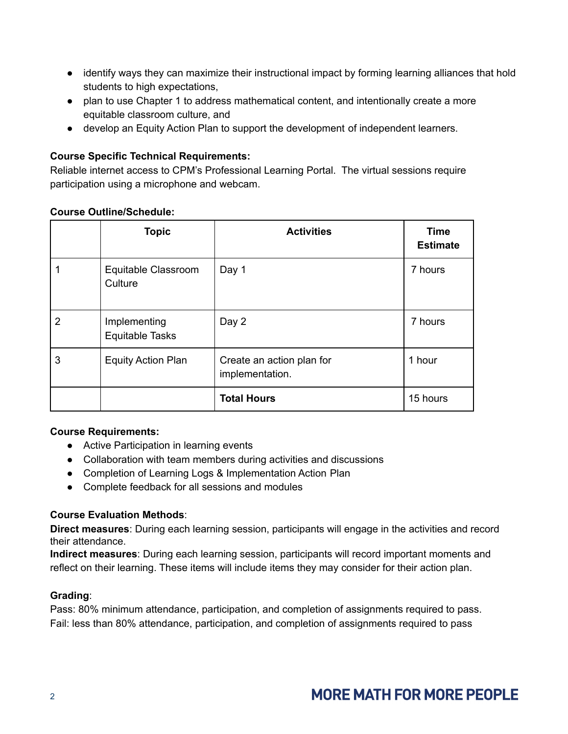- identify ways they can maximize their instructional impact by forming learning alliances that hold students to high expectations,
- plan to use Chapter 1 to address mathematical content, and intentionally create a more equitable classroom culture, and
- develop an Equity Action Plan to support the development of independent learners.

# **Course Specific Technical Requirements:**

Reliable internet access to CPM's Professional Learning Portal. The virtual sessions require participation using a microphone and webcam.

|   | <b>Topic</b>                           | <b>Activities</b>                            | <b>Time</b><br><b>Estimate</b> |
|---|----------------------------------------|----------------------------------------------|--------------------------------|
|   | Equitable Classroom<br>Culture         | Day 1                                        | 7 hours                        |
| 2 | Implementing<br><b>Equitable Tasks</b> | Day 2                                        | 7 hours                        |
| 3 | <b>Equity Action Plan</b>              | Create an action plan for<br>implementation. | 1 hour                         |
|   |                                        | <b>Total Hours</b>                           | 15 hours                       |

#### **Course Outline/Schedule:**

## **Course Requirements:**

- Active Participation in learning events
- Collaboration with team members during activities and discussions
- Completion of Learning Logs & Implementation Action Plan
- Complete feedback for all sessions and modules

## **Course Evaluation Methods**:

**Direct measures**: During each learning session, participants will engage in the activities and record their attendance.

**Indirect measures**: During each learning session, participants will record important moments and reflect on their learning. These items will include items they may consider for their action plan.

## **Grading**:

Pass: 80% minimum attendance, participation, and completion of assignments required to pass. Fail: less than 80% attendance, participation, and completion of assignments required to pass